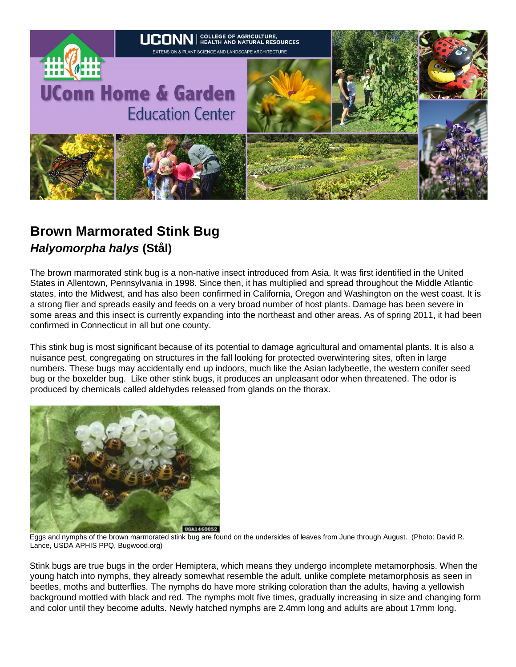

## **Brown Marmorated Stink Bug**  *Halyomorpha halys* **(Stål)**

The brown marmorated stink bug is a non-native insect introduced from Asia. It was first identified in the United States in Allentown, Pennsylvania in 1998. Since then, it has multiplied and spread throughout the Middle Atlantic states, into the Midwest, and has also been confirmed in California, Oregon and Washington on the west coast. It is a strong flier and spreads easily and feeds on a very broad number of host plants. Damage has been severe in some areas and this insect is currently expanding into the northeast and other areas. As of spring 2011, it had been confirmed in Connecticut in all but one county.

This stink bug is most significant because of its potential to damage agricultural and ornamental plants. It is also a nuisance pest, congregating on structures in the fall looking for protected overwintering sites, often in large numbers. These bugs may accidentally end up indoors, much like the Asian ladybeetle, the western conifer seed bug or the boxelder bug. Like other stink bugs, it produces an unpleasant odor when threatened. The odor is produced by chemicals called aldehydes released from glands on the thorax.



Eggs and nymphs of the brown marmorated stink bug are found on the undersides of leaves from June through August. (Photo: David R. Lance, USDA APHIS PPQ, Bugwood.org)

Stink bugs are true bugs in the order Hemiptera, which means they undergo incomplete metamorphosis. When the young hatch into nymphs, they already somewhat resemble the adult, unlike complete metamorphosis as seen in beetles, moths and butterflies. The nymphs do have more striking coloration than the adults, having a yellowish background mottled with black and red. The nymphs molt five times, gradually increasing in size and changing form and color until they become adults. Newly hatched nymphs are 2.4mm long and adults are about 17mm long.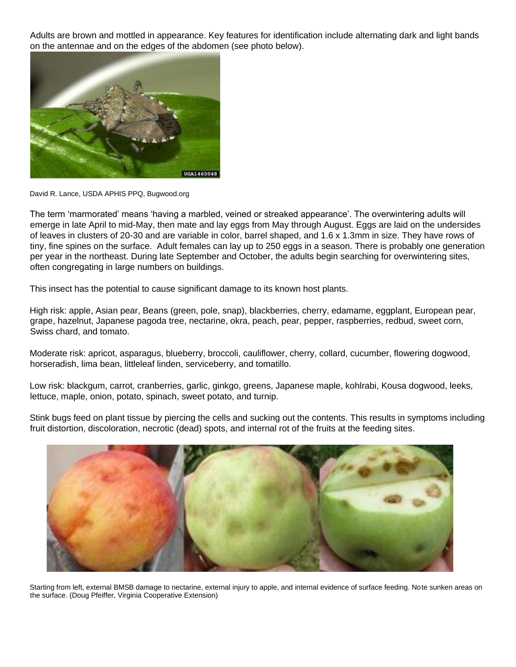Adults are brown and mottled in appearance. Key features for identification include alternating dark and light bands on the antennae and on the edges of the abdomen (see photo below).



David R. Lance, USDA APHIS PPQ, Bugwood.org

The term 'marmorated' means 'having a marbled, veined or streaked appearance'. The overwintering adults will emerge in late April to mid-May, then mate and lay eggs from May through August. Eggs are laid on the undersides of leaves in clusters of 20-30 and are variable in color, barrel shaped, and 1.6 x 1.3mm in size. They have rows of tiny, fine spines on the surface. Adult females can lay up to 250 eggs in a season. There is probably one generation per year in the northeast. During late September and October, the adults begin searching for overwintering sites, often congregating in large numbers on buildings.

This insect has the potential to cause significant damage to its known host plants.

High risk: apple, Asian pear, Beans (green, pole, snap), blackberries, cherry, edamame, eggplant, European pear, grape, hazelnut, Japanese pagoda tree, nectarine, okra, peach, pear, pepper, raspberries, redbud, sweet corn, Swiss chard, and tomato.

Moderate risk: apricot, asparagus, blueberry, broccoli, cauliflower, cherry, collard, cucumber, flowering dogwood, horseradish, lima bean, littleleaf linden, serviceberry, and tomatillo.

Low risk: blackgum, carrot, cranberries, garlic, ginkgo, greens, Japanese maple, kohlrabi, Kousa dogwood, leeks, lettuce, maple, onion, potato, spinach, sweet potato, and turnip.

Stink bugs feed on plant tissue by piercing the cells and sucking out the contents. This results in symptoms including fruit distortion, discoloration, necrotic (dead) spots, and internal rot of the fruits at the feeding sites.



Starting from left, external BMSB damage to nectarine, external injury to apple, and internal evidence of surface feeding. Note sunken areas on the surface. (Doug Pfeiffer, Virginia Cooperative Extension)